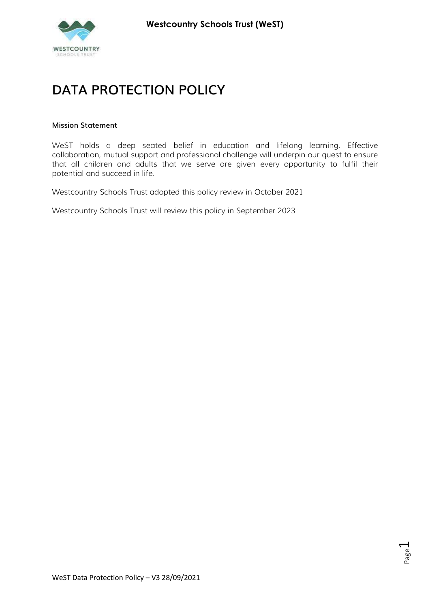

# DATA PROTECTION POLICY

#### Mission Statement

WeST holds a deep seated belief in education and lifelong learning. Effective collaboration, mutual support and professional challenge will underpin our quest to ensure that all children and adults that we serve are given every opportunity to fulfil their potential and succeed in life.

Westcountry Schools Trust adopted this policy review in October 2021

Westcountry Schools Trust will review this policy in September 2023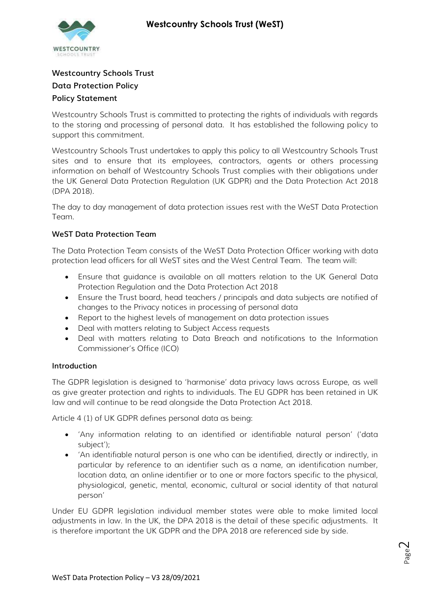

# Westcountry Schools Trust Data Protection Policy Policy Statement

Westcountry Schools Trust is committed to protecting the rights of individuals with regards to the storing and processing of personal data. It has established the following policy to support this commitment.

Westcountry Schools Trust undertakes to apply this policy to all Westcountry Schools Trust sites and to ensure that its employees, contractors, agents or others processing information on behalf of Westcountry Schools Trust complies with their obligations under the UK General Data Protection Regulation (UK GDPR) and the Data Protection Act 2018 (DPA 2018).

The day to day management of data protection issues rest with the WeST Data Protection Team.

# WeST Data Protection Team

The Data Protection Team consists of the WeST Data Protection Officer working with data protection lead officers for all WeST sites and the West Central Team. The team will:

- Ensure that guidance is available on all matters relation to the UK General Data Protection Regulation and the Data Protection Act 2018
- Ensure the Trust board, head teachers / principals and data subjects are notified of changes to the Privacy notices in processing of personal data
- Report to the highest levels of management on data protection issues
- Deal with matters relating to Subject Access requests
- Deal with matters relating to Data Breach and notifications to the Information Commissioner's Office (ICO)

# Introduction

The GDPR legislation is designed to 'harmonise' data privacy laws across Europe, as well as give greater protection and rights to individuals. The EU GDPR has been retained in UK law and will continue to be read alongside the Data Protection Act 2018.

Article 4 (1) of UK GDPR defines personal data as being:

- 'Any information relating to an identified or identifiable natural person' ('data subject');
- 'An identifiable natural person is one who can be identified, directly or indirectly, in particular by reference to an identifier such as a name, an identification number, location data, an online identifier or to one or more factors specific to the physical, physiological, genetic, mental, economic, cultural or social identity of that natural person'

Under EU GDPR legislation individual member states were able to make limited local adjustments in law. In the UK, the DPA 2018 is the detail of these specific adjustments. It is therefore important the UK GDPR and the DPA 2018 are referenced side by side.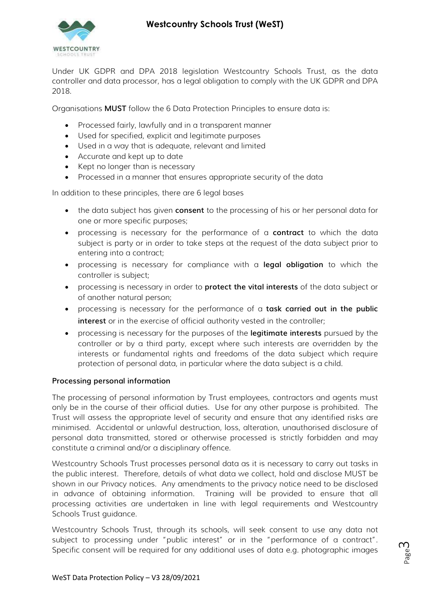

Under UK GDPR and DPA 2018 legislation Westcountry Schools Trust, as the data controller and data processor, has a legal obligation to comply with the UK GDPR and DPA 2018.

Organisations MUST follow the 6 Data Protection Principles to ensure data is:

- Processed fairly, lawfully and in a transparent manner
- Used for specified, explicit and legitimate purposes
- Used in a way that is adequate, relevant and limited
- Accurate and kept up to date
- Kept no longer than is necessary
- Processed in a manner that ensures appropriate security of the data

In addition to these principles, there are 6 legal bases

- the data subject has given **consent** to the processing of his or her personal data for one or more specific purposes;
- processing is necessary for the performance of a contract to which the data subject is party or in order to take steps at the request of the data subject prior to entering into a contract;
- processing is necessary for compliance with a **legal obligation** to which the controller is subject;
- processing is necessary in order to **protect the vital interests** of the data subject or of another natural person;
- processing is necessary for the performance of a task carried out in the public interest or in the exercise of official authority vested in the controller;
- processing is necessary for the purposes of the legitimate interests pursued by the controller or by a third party, except where such interests are overridden by the interests or fundamental rights and freedoms of the data subject which require protection of personal data, in particular where the data subject is a child.

## Processing personal information

The processing of personal information by Trust employees, contractors and agents must only be in the course of their official duties. Use for any other purpose is prohibited. The Trust will assess the appropriate level of security and ensure that any identified risks are minimised. Accidental or unlawful destruction, loss, alteration, unauthorised disclosure of personal data transmitted, stored or otherwise processed is strictly forbidden and may constitute a criminal and/or a disciplinary offence.

Westcountry Schools Trust processes personal data as it is necessary to carry out tasks in the public interest. Therefore, details of what data we collect, hold and disclose MUST be shown in our Privacy notices. Any amendments to the privacy notice need to be disclosed in advance of obtaining information. Training will be provided to ensure that all processing activities are undertaken in line with legal requirements and Westcountry Schools Trust guidance.

west Data Protection Policy – V3 28/09/2021<br>WeST Data Protection Policy – V3 28/09/2021 Westcountry Schools Trust, through its schools, will seek consent to use any data not subject to processing under "public interest" or in the "performance of a contract". Specific consent will be required for any additional uses of data e.g. photographic images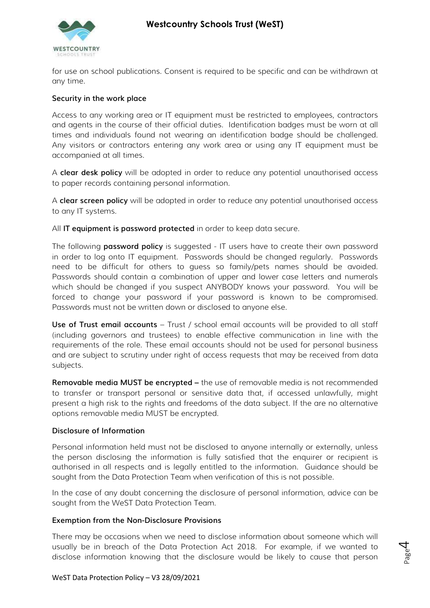# Westcountry Schools Trust (WeST)



for use on school publications. Consent is required to be specific and can be withdrawn at any time.

## Security in the work place

Access to any working area or IT equipment must be restricted to employees, contractors and agents in the course of their official duties. Identification badges must be worn at all times and individuals found not wearing an identification badge should be challenged. Any visitors or contractors entering any work area or using any IT equipment must be accompanied at all times.

A clear desk policy will be adopted in order to reduce any potential unauthorised access to paper records containing personal information.

A clear screen policy will be adopted in order to reduce any potential unauthorised access to any IT systems.

All **IT equipment is password protected** in order to keep data secure.

The following **password policy** is suggested - IT users have to create their own password in order to log onto IT equipment. Passwords should be changed regularly. Passwords need to be difficult for others to guess so family/pets names should be avoided. Passwords should contain a combination of upper and lower case letters and numerals which should be changed if you suspect ANYBODY knows your password. You will be forced to change your password if your password is known to be compromised. Passwords must not be written down or disclosed to anyone else.

Use of Trust email accounts – Trust / school email accounts will be provided to all staff (including governors and trustees) to enable effective communication in line with the requirements of the role. These email accounts should not be used for personal business and are subject to scrutiny under right of access requests that may be received from data subjects.

Removable media MUST be encrypted – the use of removable media is not recommended to transfer or transport personal or sensitive data that, if accessed unlawfully, might present a high risk to the rights and freedoms of the data subject. If the are no alternative options removable media MUST be encrypted.

## Disclosure of Information

Personal information held must not be disclosed to anyone internally or externally, unless the person disclosing the information is fully satisfied that the enquirer or recipient is authorised in all respects and is legally entitled to the information. Guidance should be sought from the Data Protection Team when verification of this is not possible.

In the case of any doubt concerning the disclosure of personal information, advice can be sought from the WeST Data Protection Team.

## Exemption from the Non-Disclosure Provisions

disclose information knowing that the disclosure would be likely to cause that person<br>WeST Data Protection Policy – V3 28/09/2021 There may be occasions when we need to disclose information about someone which will usually be in breach of the Data Protection Act 2018. For example, if we wanted to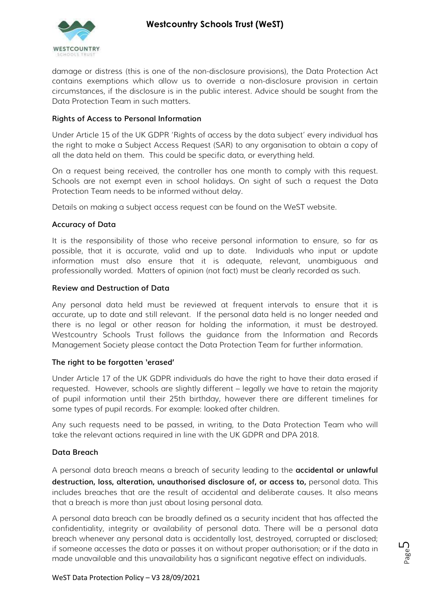# Westcountry Schools Trust (WeST)



damage or distress (this is one of the non-disclosure provisions), the Data Protection Act contains exemptions which allow us to override a non-disclosure provision in certain circumstances, if the disclosure is in the public interest. Advice should be sought from the Data Protection Team in such matters.

# Rights of Access to Personal Information

Under Article 15 of the UK GDPR 'Rights of access by the data subject' every individual has the right to make a Subject Access Request (SAR) to any organisation to obtain a copy of all the data held on them. This could be specific data, or everything held.

On a request being received, the controller has one month to comply with this request. Schools are not exempt even in school holidays. On sight of such a request the Data Protection Team needs to be informed without delay.

Details on making a subject access request can be found on the WeST website.

# Accuracy of Data

It is the responsibility of those who receive personal information to ensure, so far as possible, that it is accurate, valid and up to date. Individuals who input or update information must also ensure that it is adequate, relevant, unambiguous and professionally worded. Matters of opinion (not fact) must be clearly recorded as such.

## Review and Destruction of Data

Any personal data held must be reviewed at frequent intervals to ensure that it is accurate, up to date and still relevant. If the personal data held is no longer needed and there is no legal or other reason for holding the information, it must be destroyed. Westcountry Schools Trust follows the guidance from the Information and Records Management Society please contact the Data Protection Team for further information.

## The right to be forgotten 'erased'

Under Article 17 of the UK GDPR individuals do have the right to have their data erased if requested. However, schools are slightly different – legally we have to retain the majority of pupil information until their 25th birthday, however there are different timelines for some types of pupil records. For example: looked after children.

Any such requests need to be passed, in writing, to the Data Protection Team who will take the relevant actions required in line with the UK GDPR and DPA 2018.

## Data Breach

A personal data breach means a breach of security leading to the accidental or unlawful destruction, loss, alteration, unauthorised disclosure of, or access to, personal data. This includes breaches that are the result of accidental and deliberate causes. It also means that a breach is more than just about losing personal data.

m someone accesses the add or passes it on without proper dumorisation, or if the data in the age made unavailable and this unavailability has a significant negative effect on individuals.<br>WeST Data Protection Policy – V3 A personal data breach can be broadly defined as a security incident that has affected the confidentiality, integrity or availability of personal data. There will be a personal data breach whenever any personal data is accidentally lost, destroyed, corrupted or disclosed; if someone accesses the data or passes it on without proper authorisation; or if the data in made unavailable and this unavailability has a significant negative effect on individuals.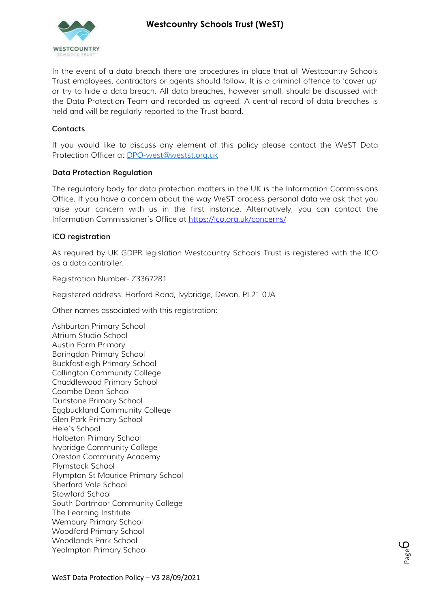# Westcountry Schools Trust (WeST)



In the event of a data breach there are procedures in place that all Westcountry Schools Trust employees, contractors or agents should follow. It is a criminal offence to 'cover up' or try to hide a data breach. All data breaches, however small, should be discussed with the Data Protection Team and recorded as agreed. A central record of data breaches is held and will be regularly reported to the Trust board.

## **Contacts**

If you would like to discuss any element of this policy please contact the WeST Data Protection Officer at DPO-west@westst.org.uk

## Data Protection Regulation

The regulatory body for data protection matters in the UK is the Information Commissions Office. If you have a concern about the way WeST process personal data we ask that you raise your concern with us in the first instance. Alternatively, you can contact the Information Commissioner's Office at https://ico.org.uk/concerns/

# ICO registration

As required by UK GDPR legislation Westcountry Schools Trust is registered with the ICO as a data controller.

Registration Number- Z3367281

Registered address: Harford Road, Ivybridge, Devon. PL21 0JA

Other names associated with this registration:

Ashburton Primary School Atrium Studio School Austin Farm Primary Boringdon Primary School Buckfastleigh Primary School Callington Community College Chaddlewood Primary School Coombe Dean School Dunstone Primary School Eggbuckland Community College Glen Park Primary School Hele's School Holbeton Primary School Ivybridge Community College Oreston Community Academy Plymstock School Plympton St Maurice Primary School Sherford Vale School Stowford School South Dartmoor Community College The Learning Institute Wembury Primary School Woodford Primary School Woodlands Park School Yealmpton Primary School